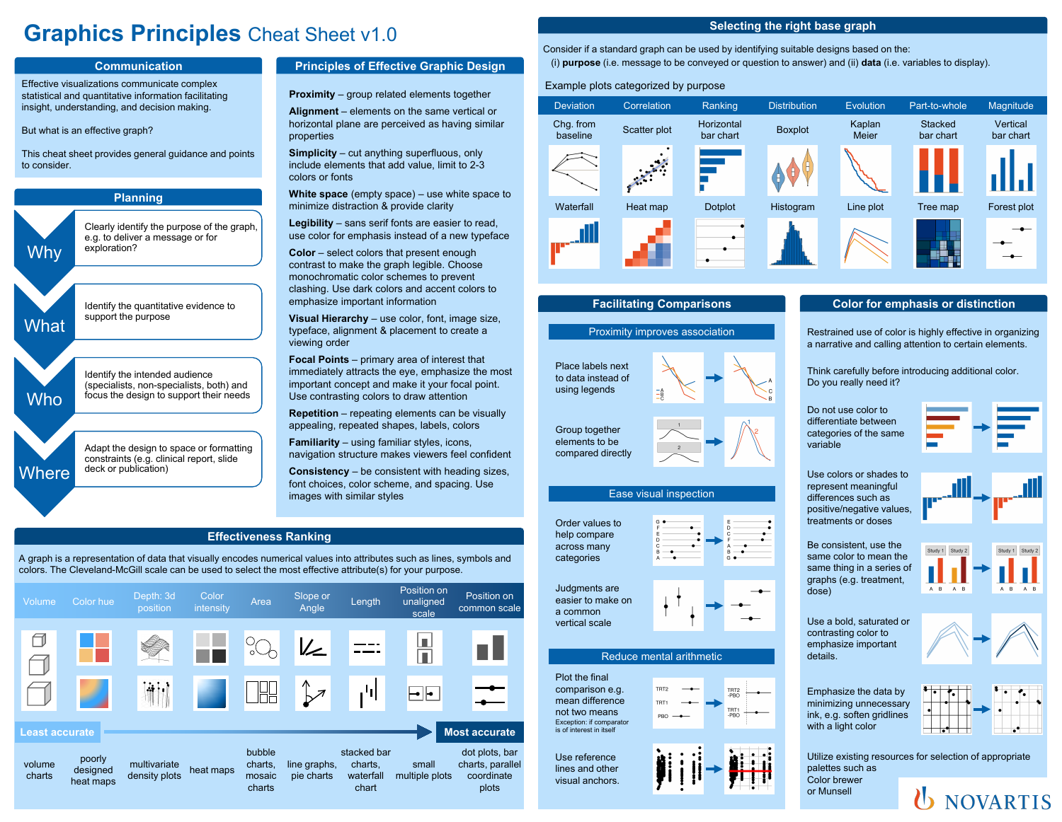# **Graphics Principles** Cheat Sheet v1.0



# **Principles of Effective Graphic Design**

**Proximity** – group related elements together

**Alignment** – elements on the same vertical or horizontal plane are perceived as having similar properties

**Simplicity** – cut anything superfluous, only include elements that add value, limit to 2-3 colors or fonts

**White space** (empty space) – use white space to minimize distraction & provide clarity

**Legibility** – sans serif fonts are easier to read, use color for emphasis instead of a new typeface

**Color** – select colors that present enough contrast to make the graph legible. Choose monochromatic color schemes to prevent clashing. Use dark colors and accent colors to emphasize important information

**Visual Hierarchy** – use color, font, image size, typeface, alignment & placement to create a viewing order

**Focal Points** – primary area of interest that immediately attracts the eye, emphasize the most important concept and make it your focal point. Use contrasting colors to draw attention

**Repetition** – repeating elements can be visually appealing, repeated shapes, labels, colors

**Familiarity** – using familiar styles, icons, navigation structure makes viewers feel confident

**Consistency** – be consistent with heading sizes, font choices, color scheme, and spacing. Use images with similar styles

## **Effectiveness Ranking**

A graph is a representation of data that visually encodes numerical values into attributes such as lines, symbols and colors. The Cleveland-McGill scale can be used to select the most effective attribute(s) for your purpose.

|                       | Volume           | Color hue                       | Depth: 3d<br>position         | Color<br>intensity | Area                                  | Slope or<br>Angle          | Length                                       | Position on<br>unaligned<br>scale | Position on<br>common scale                               |
|-----------------------|------------------|---------------------------------|-------------------------------|--------------------|---------------------------------------|----------------------------|----------------------------------------------|-----------------------------------|-----------------------------------------------------------|
|                       | ℸ                |                                 |                               |                    |                                       | $\mathbb{Z}$               |                                              | L<br>$\overline{\phantom{a}}$     |                                                           |
|                       |                  |                                 | $\ddot{a}$                    |                    |                                       | ∧<br>$\overline{z}$        | 可                                            | ╺╟╸                               |                                                           |
| <b>Least accurate</b> |                  |                                 |                               |                    |                                       |                            | <b>Most accurate</b>                         |                                   |                                                           |
|                       | volume<br>charts | poorly<br>designed<br>heat maps | multivariate<br>density plots | heat maps          | bubble<br>charts,<br>mosaic<br>charts | line graphs,<br>pie charts | stacked bar<br>charts,<br>waterfall<br>chart | small<br>multiple plots           | dot plots, bar<br>charts, parallel<br>coordinate<br>plots |

## **Selecting the right base graph**

Consider if a standard graph can be used by identifying suitable designs based on the: (i) **purpose** (i.e. message to be conveyed or question to answer) and (ii) **data** (i.e. variables to display).

### Example plots categorized by purpose

| <b>Deviation</b>      | Correlation  | Ranking                 | <b>Distribution</b> | Evolution       | Part-to-whole               | Magnitude             |
|-----------------------|--------------|-------------------------|---------------------|-----------------|-----------------------------|-----------------------|
| Chg. from<br>baseline | Scatter plot | Horizontal<br>bar chart | <b>Boxplot</b>      | Kaplan<br>Meier | <b>Stacked</b><br>bar chart | Vertical<br>bar chart |
|                       |              |                         | Н                   |                 |                             |                       |
| Waterfall             | Heat map     | <b>Dotplot</b>          | Histogram           | Line plot       | Tree map                    | Forest plot           |
|                       |              |                         |                     |                 |                             |                       |

## **Facilitating Comparisons**

#### Proximity improves association

Place labels next to data instead of using legends

Group together elements to be compared directly



## **Color for emphasis or distinction**

Restrained use of color is highly effective in organizing a narrative and calling attention to certain elements.

Think carefully before introducing additional color. Do you really need it?

Do not use color to differentiate between categories of the same variable

Use colors or shades to represent meaningful differences such as positive/negative values, treatments or doses

Be consistent, use the same color to mean the same thing in a series of

Use a bold, saturated or contrasting color to emphasize important details.



Emphasize the data by minimizing unnecessary ink, e.g. soften gridlines with a light color

or Munsell

Utilize existing resources for selection of appropriate palettes such as Color brewer







#### Reduce mental arithmetic

Plot the final comparison e.g. mean difference not two means Exception: if comparator is of interest in itself

Use reference lines and other visual anchors.

Ease visual inspection



a common vertical scale

TRT2

















dose)